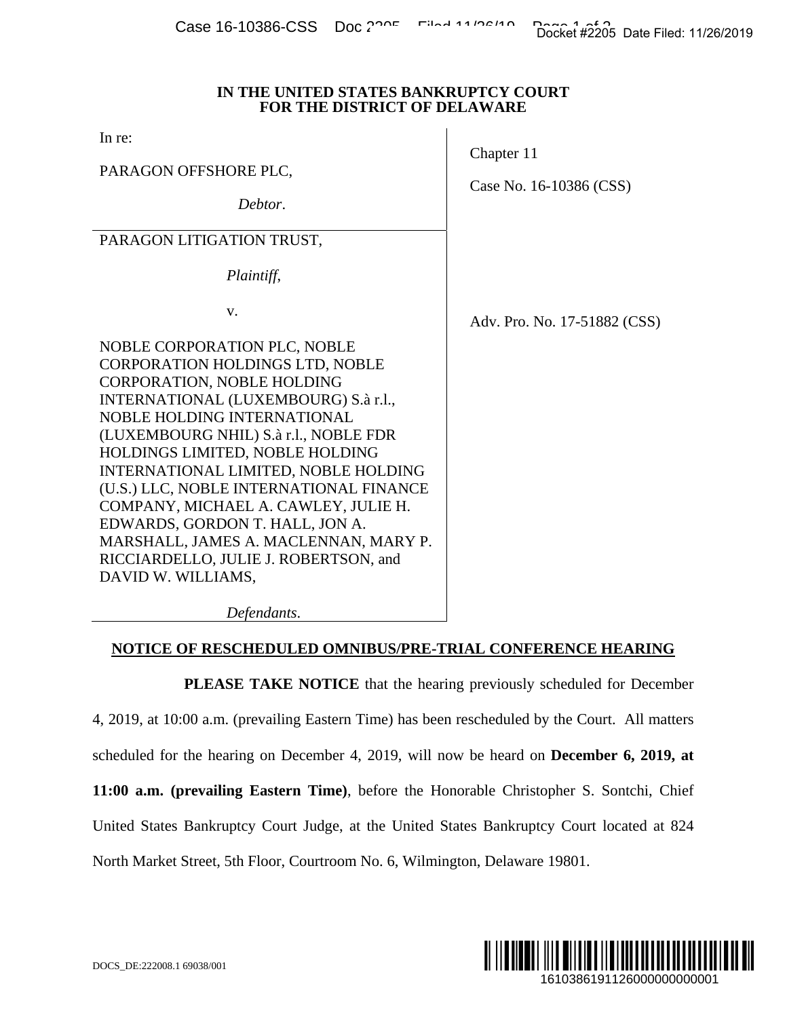#### **IN THE UNITED STATES BANKRUPTCY COURT FOR THE DISTRICT OF DELAWARE**

In re:

PARAGON OFFSHORE PLC,

*Debtor*.

Case No. 16-10386 (CSS)

Adv. Pro. No. 17-51882 (CSS)

Chapter 11

PARAGON LITIGATION TRUST,

 *Plaintiff*,

v.

NOBLE CORPORATION PLC, NOBLE CORPORATION HOLDINGS LTD, NOBLE CORPORATION, NOBLE HOLDING INTERNATIONAL (LUXEMBOURG) S.à r.l., NOBLE HOLDING INTERNATIONAL (LUXEMBOURG NHIL) S.à r.l., NOBLE FDR HOLDINGS LIMITED, NOBLE HOLDING INTERNATIONAL LIMITED, NOBLE HOLDING (U.S.) LLC, NOBLE INTERNATIONAL FINANCE COMPANY, MICHAEL A. CAWLEY, JULIE H. EDWARDS, GORDON T. HALL, JON A. MARSHALL, JAMES A. MACLENNAN, MARY P. RICCIARDELLO, JULIE J. ROBERTSON, and DAVID W. WILLIAMS,

*Defendants*.

# **NOTICE OF RESCHEDULED OMNIBUS/PRE-TRIAL CONFERENCE HEARING**

**PLEASE TAKE NOTICE** that the hearing previously scheduled for December 4, 2019, at 10:00 a.m. (prevailing Eastern Time) has been rescheduled by the Court. All matters scheduled for the hearing on December 4, 2019, will now be heard on **December 6, 2019, at 11:00 a.m. (prevailing Eastern Time)**, before the Honorable Christopher S. Sontchi, Chief United States Bankruptcy Court Judge, at the United States Bankruptcy Court located at 824 North Market Street, 5th Floor, Courtroom No. 6, Wilmington, Delaware 19801. Docket #2205 Date Filed: 11/26/2019<br>
URT<br>
6-10386 (CSS)<br>
No. 17-51882 (CSS)<br>
No. 17-51882 (CSS)<br>
scheduled for December<br>
n December 6, 2019, at<br>
topher S. Sontchi, Chief<br>
tey Court located at 824<br>
e 19801.<br>
16103861911260

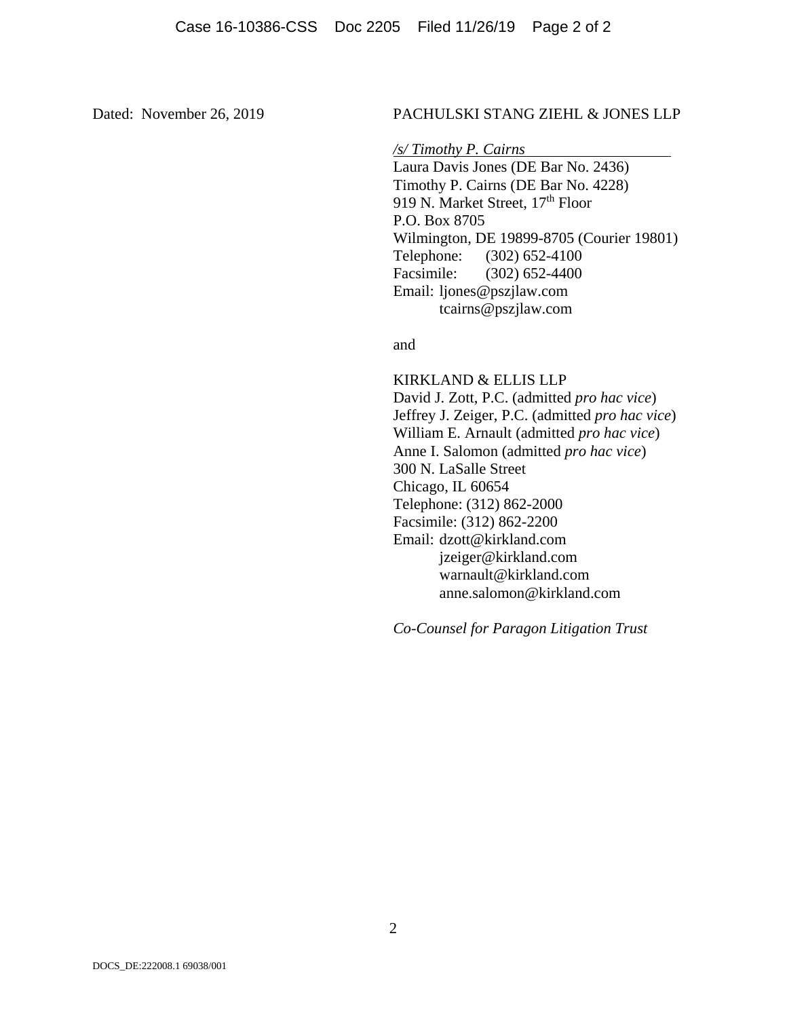### Dated: November 26, 2019 PACHULSKI STANG ZIEHL & JONES LLP

*/s/ Timothy P. Cairns* 

 Laura Davis Jones (DE Bar No. 2436) Timothy P. Cairns (DE Bar No. 4228) 919 N. Market Street, 17<sup>th</sup> Floor P.O. Box 8705 Wilmington, DE 19899-8705 (Courier 19801) Telephone: (302) 652-4100 Facsimile: (302) 652-4400 Email: ljones@pszjlaw.com tcairns@pszjlaw.com

and

 KIRKLAND & ELLIS LLP David J. Zott, P.C. (admitted *pro hac vice*) Jeffrey J. Zeiger, P.C. (admitted *pro hac vice*) William E. Arnault (admitted *pro hac vice*) Anne I. Salomon (admitted *pro hac vice*) 300 N. LaSalle Street Chicago, IL 60654 Telephone: (312) 862-2000 Facsimile: (312) 862-2200 Email: dzott@kirkland.com jzeiger@kirkland.com warnault@kirkland.com anne.salomon@kirkland.com

*Co-Counsel for Paragon Litigation Trust*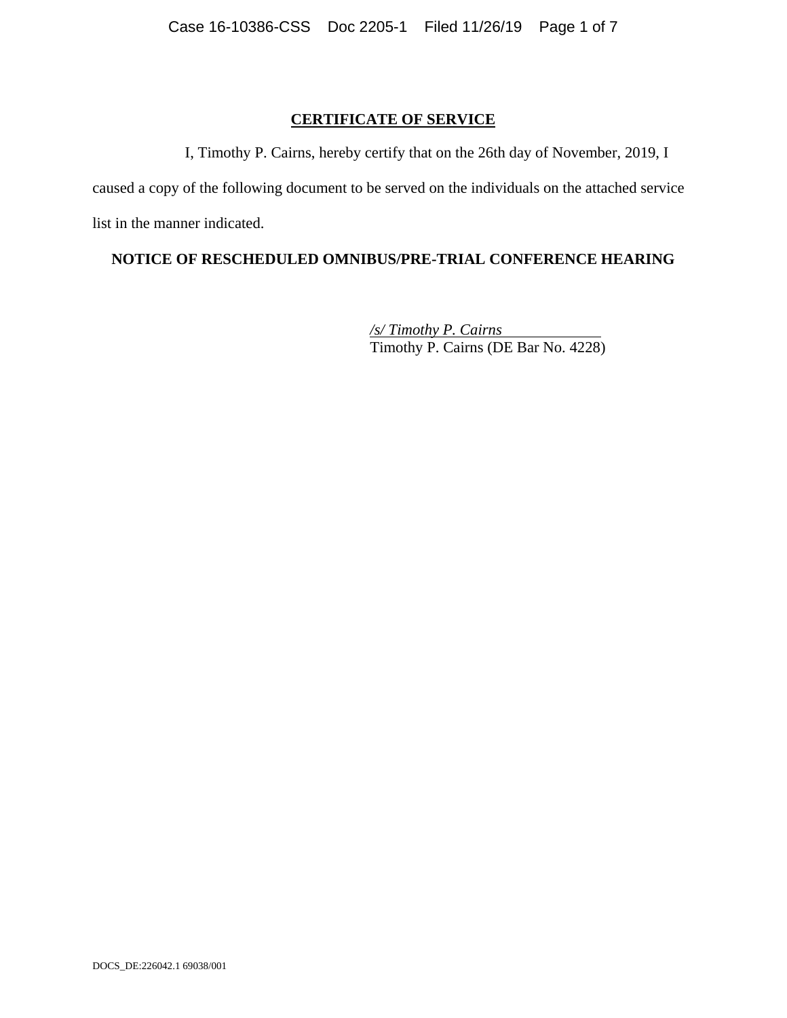## **CERTIFICATE OF SERVICE**

I, Timothy P. Cairns, hereby certify that on the 26th day of November, 2019, I

caused a copy of the following document to be served on the individuals on the attached service list in the manner indicated.

# **NOTICE OF RESCHEDULED OMNIBUS/PRE-TRIAL CONFERENCE HEARING**

*/s/ Timothy P. Cairns*  Timothy P. Cairns (DE Bar No. 4228)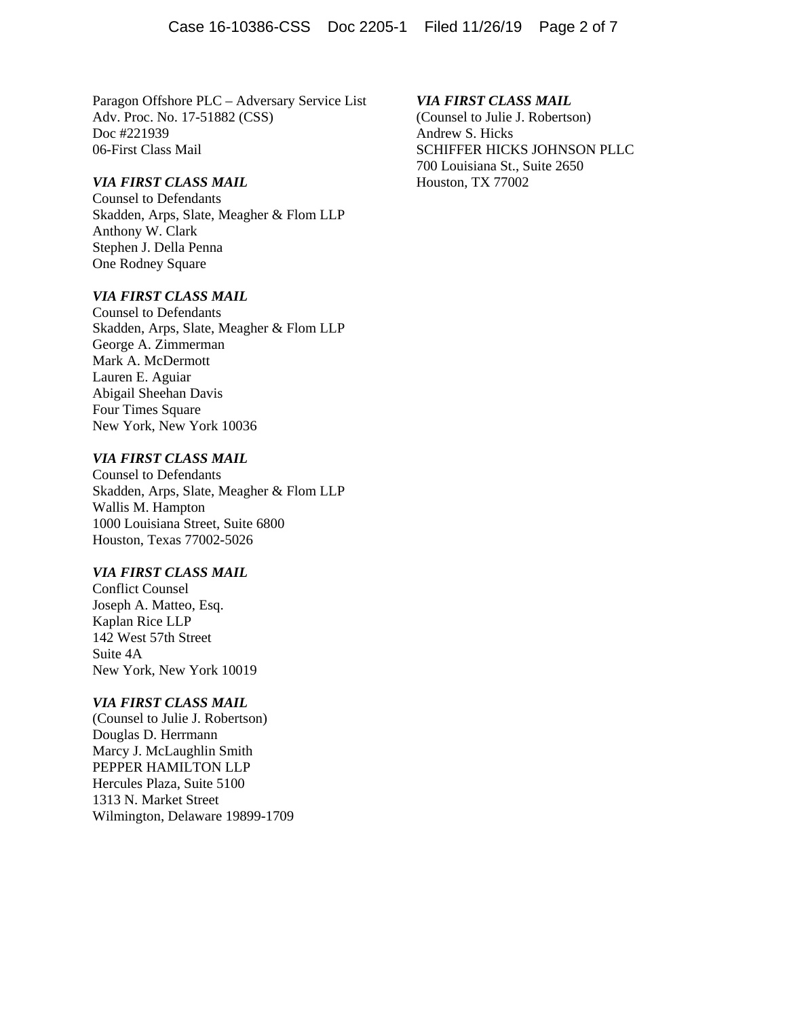Paragon Offshore PLC – Adversary Service List Adv. Proc. No. 17-51882 (CSS) Doc #221939 06-First Class Mail

#### *VIA FIRST CLASS MAIL*

Counsel to Defendants Skadden, Arps, Slate, Meagher & Flom LLP Anthony W. Clark Stephen J. Della Penna One Rodney Square

#### *VIA FIRST CLASS MAIL*

Counsel to Defendants Skadden, Arps, Slate, Meagher & Flom LLP George A. Zimmerman Mark A. McDermott Lauren E. Aguiar Abigail Sheehan Davis Four Times Square New York, New York 10036

### *VIA FIRST CLASS MAIL*

Counsel to Defendants Skadden, Arps, Slate, Meagher & Flom LLP Wallis M. Hampton 1000 Louisiana Street, Suite 6800 Houston, Texas 77002-5026

#### *VIA FIRST CLASS MAIL*

Conflict Counsel Joseph A. Matteo, Esq. Kaplan Rice LLP 142 West 57th Street Suite 4A New York, New York 10019

#### *VIA FIRST CLASS MAIL*

(Counsel to Julie J. Robertson) Douglas D. Herrmann Marcy J. McLaughlin Smith PEPPER HAMILTON LLP Hercules Plaza, Suite 5100 1313 N. Market Street Wilmington, Delaware 19899-1709

#### *VIA FIRST CLASS MAIL*

(Counsel to Julie J. Robertson) Andrew S. Hicks SCHIFFER HICKS JOHNSON PLLC 700 Louisiana St., Suite 2650 Houston, TX 77002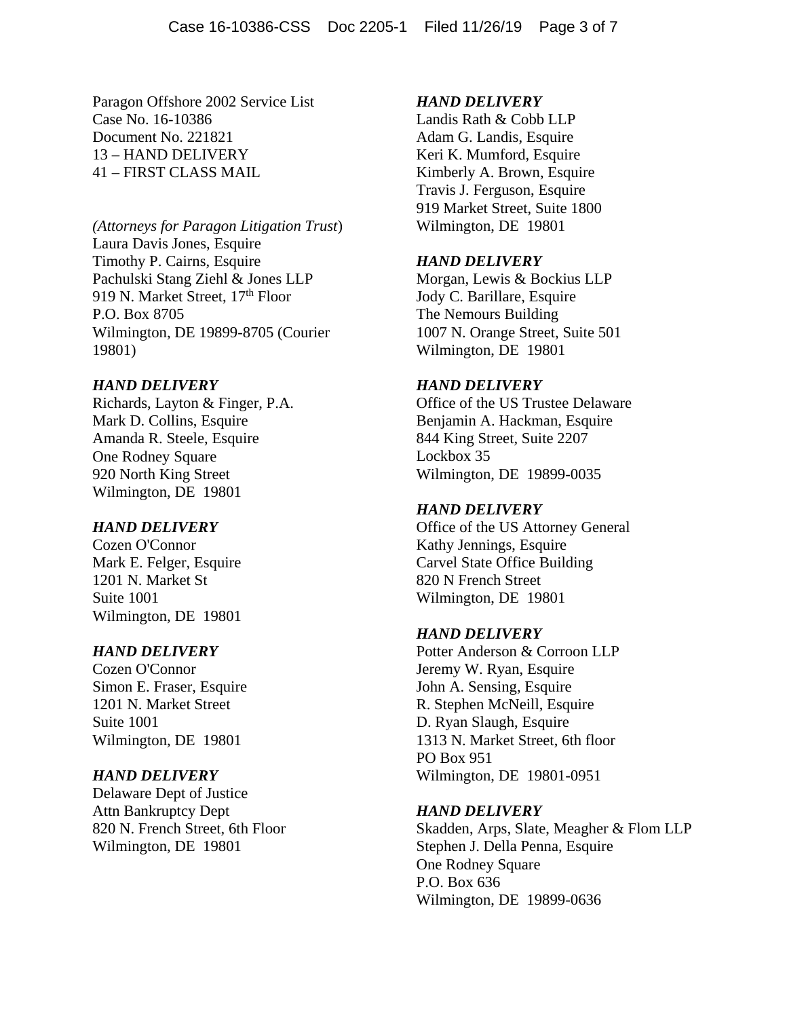Paragon Offshore 2002 Service List Case No. 16-10386 Document No. 221821 13 – HAND DELIVERY 41 – FIRST CLASS MAIL

*(Attorneys for Paragon Litigation Trust*) Laura Davis Jones, Esquire Timothy P. Cairns, Esquire Pachulski Stang Ziehl & Jones LLP 919 N. Market Street, 17<sup>th</sup> Floor P.O. Box 8705 Wilmington, DE 19899-8705 (Courier 19801)

### *HAND DELIVERY*

Richards, Layton & Finger, P.A. Mark D. Collins, Esquire Amanda R. Steele, Esquire One Rodney Square 920 North King Street Wilmington, DE 19801

#### *HAND DELIVERY*

Cozen O'Connor Mark E. Felger, Esquire 1201 N. Market St Suite 1001 Wilmington, DE 19801

#### *HAND DELIVERY*

Cozen O'Connor Simon E. Fraser, Esquire 1201 N. Market Street Suite 1001 Wilmington, DE 19801

#### *HAND DELIVERY*

Delaware Dept of Justice Attn Bankruptcy Dept 820 N. French Street, 6th Floor Wilmington, DE 19801

#### *HAND DELIVERY*

Landis Rath & Cobb LLP Adam G. Landis, Esquire Keri K. Mumford, Esquire Kimberly A. Brown, Esquire Travis J. Ferguson, Esquire 919 Market Street, Suite 1800 Wilmington, DE 19801

## *HAND DELIVERY*

Morgan, Lewis & Bockius LLP Jody C. Barillare, Esquire The Nemours Building 1007 N. Orange Street, Suite 501 Wilmington, DE 19801

### *HAND DELIVERY*

Office of the US Trustee Delaware Benjamin A. Hackman, Esquire 844 King Street, Suite 2207 Lockbox 35 Wilmington, DE 19899-0035

#### *HAND DELIVERY*

Office of the US Attorney General Kathy Jennings, Esquire Carvel State Office Building 820 N French Street Wilmington, DE 19801

#### *HAND DELIVERY*

Potter Anderson & Corroon LLP Jeremy W. Ryan, Esquire John A. Sensing, Esquire R. Stephen McNeill, Esquire D. Ryan Slaugh, Esquire 1313 N. Market Street, 6th floor PO Box 951 Wilmington, DE 19801-0951

#### *HAND DELIVERY*

Skadden, Arps, Slate, Meagher & Flom LLP Stephen J. Della Penna, Esquire One Rodney Square P.O. Box 636 Wilmington, DE 19899-0636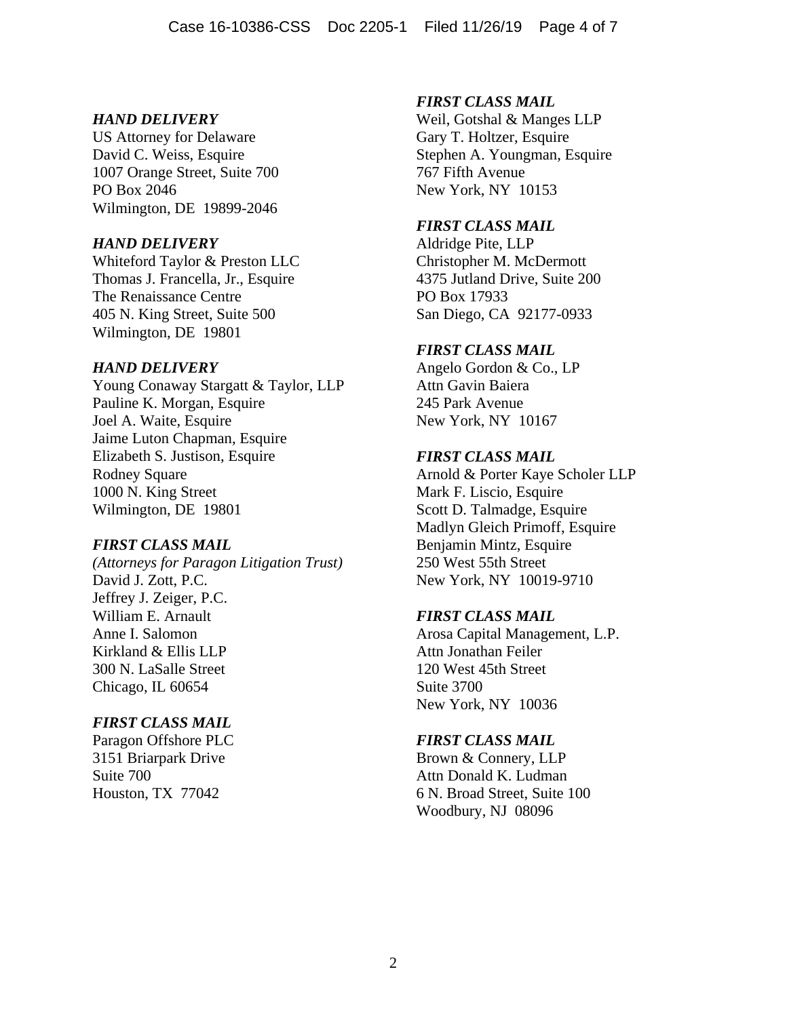## *HAND DELIVERY*

US Attorney for Delaware David C. Weiss, Esquire 1007 Orange Street, Suite 700 PO Box 2046 Wilmington, DE 19899-2046

## *HAND DELIVERY*

Whiteford Taylor & Preston LLC Thomas J. Francella, Jr., Esquire The Renaissance Centre 405 N. King Street, Suite 500 Wilmington, DE 19801

## *HAND DELIVERY*

Young Conaway Stargatt & Taylor, LLP Pauline K. Morgan, Esquire Joel A. Waite, Esquire Jaime Luton Chapman, Esquire Elizabeth S. Justison, Esquire Rodney Square 1000 N. King Street Wilmington, DE 19801

# *FIRST CLASS MAIL*

*(Attorneys for Paragon Litigation Trust)*  David J. Zott, P.C. Jeffrey J. Zeiger, P.C. William E. Arnault Anne I. Salomon Kirkland & Ellis LLP 300 N. LaSalle Street Chicago, IL 60654

# *FIRST CLASS MAIL*

Paragon Offshore PLC 3151 Briarpark Drive Suite 700 Houston, TX 77042

# *FIRST CLASS MAIL*

Weil, Gotshal & Manges LLP Gary T. Holtzer, Esquire Stephen A. Youngman, Esquire 767 Fifth Avenue New York, NY 10153

# *FIRST CLASS MAIL*

Aldridge Pite, LLP Christopher M. McDermott 4375 Jutland Drive, Suite 200 PO Box 17933 San Diego, CA 92177-0933

# *FIRST CLASS MAIL*

Angelo Gordon & Co., LP Attn Gavin Baiera 245 Park Avenue New York, NY 10167

## *FIRST CLASS MAIL*

Arnold & Porter Kaye Scholer LLP Mark F. Liscio, Esquire Scott D. Talmadge, Esquire Madlyn Gleich Primoff, Esquire Benjamin Mintz, Esquire 250 West 55th Street New York, NY 10019-9710

# *FIRST CLASS MAIL*

Arosa Capital Management, L.P. Attn Jonathan Feiler 120 West 45th Street Suite 3700 New York, NY 10036

# *FIRST CLASS MAIL*

Brown & Connery, LLP Attn Donald K. Ludman 6 N. Broad Street, Suite 100 Woodbury, NJ 08096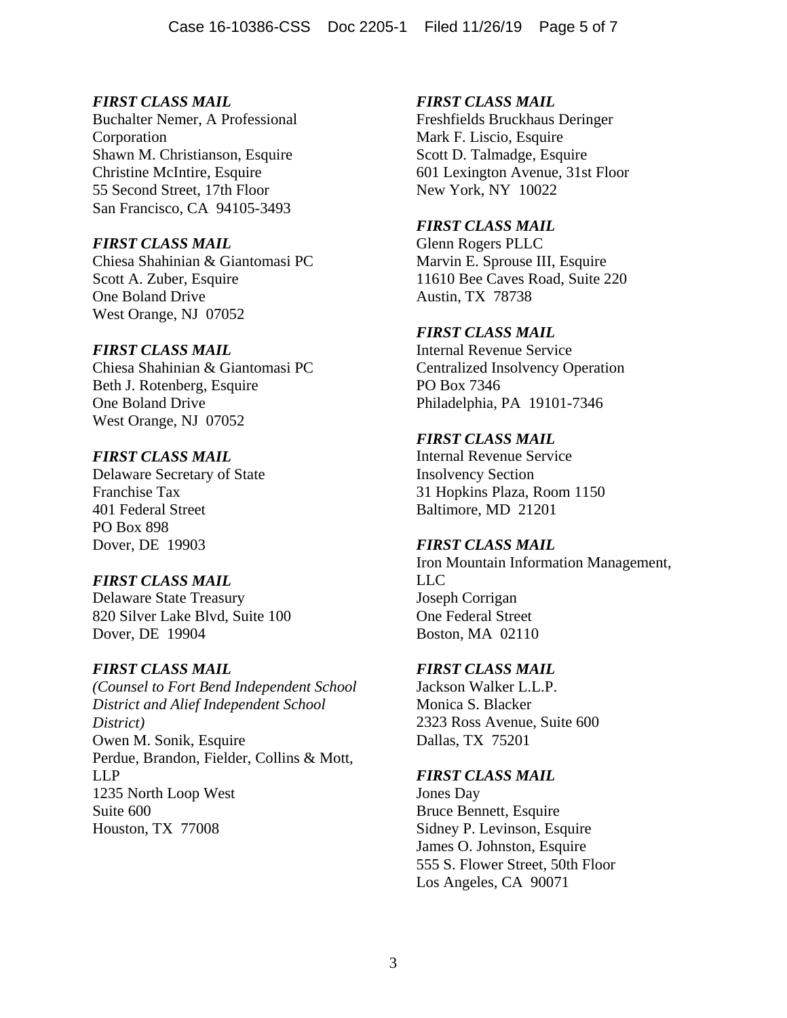# *FIRST CLASS MAIL*

Buchalter Nemer, A Professional Corporation Shawn M. Christianson, Esquire Christine McIntire, Esquire 55 Second Street, 17th Floor San Francisco, CA 94105-3493

# *FIRST CLASS MAIL*

Chiesa Shahinian & Giantomasi PC Scott A. Zuber, Esquire One Boland Drive West Orange, NJ 07052

# *FIRST CLASS MAIL*

Chiesa Shahinian & Giantomasi PC Beth J. Rotenberg, Esquire One Boland Drive West Orange, NJ 07052

# *FIRST CLASS MAIL*

Delaware Secretary of State Franchise Tax 401 Federal Street PO Box 898 Dover, DE 19903

# *FIRST CLASS MAIL*

Delaware State Treasury 820 Silver Lake Blvd, Suite 100 Dover, DE 19904

# *FIRST CLASS MAIL*

*(Counsel to Fort Bend Independent School District and Alief Independent School District)*  Owen M. Sonik, Esquire Perdue, Brandon, Fielder, Collins & Mott, LLP 1235 North Loop West Suite 600 Houston, TX 77008

# *FIRST CLASS MAIL*

Freshfields Bruckhaus Deringer Mark F. Liscio, Esquire Scott D. Talmadge, Esquire 601 Lexington Avenue, 31st Floor New York, NY 10022

# *FIRST CLASS MAIL*

Glenn Rogers PLLC Marvin E. Sprouse III, Esquire 11610 Bee Caves Road, Suite 220 Austin, TX 78738

# *FIRST CLASS MAIL*

Internal Revenue Service Centralized Insolvency Operation PO Box 7346 Philadelphia, PA 19101-7346

# *FIRST CLASS MAIL*

Internal Revenue Service Insolvency Section 31 Hopkins Plaza, Room 1150 Baltimore, MD 21201

# *FIRST CLASS MAIL*

Iron Mountain Information Management, LLC Joseph Corrigan One Federal Street Boston, MA 02110

# *FIRST CLASS MAIL*

Jackson Walker L.L.P. Monica S. Blacker 2323 Ross Avenue, Suite 600 Dallas, TX 75201

# *FIRST CLASS MAIL*

Jones Day Bruce Bennett, Esquire Sidney P. Levinson, Esquire James O. Johnston, Esquire 555 S. Flower Street, 50th Floor Los Angeles, CA 90071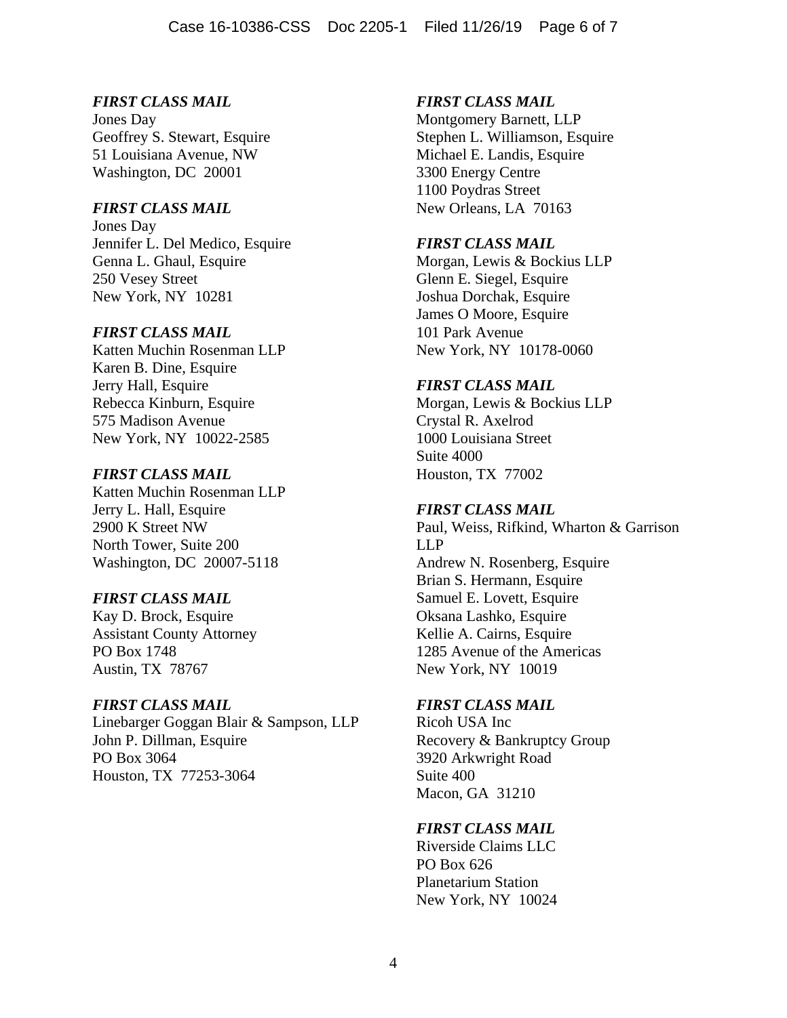# *FIRST CLASS MAIL*

Jones Day Geoffrey S. Stewart, Esquire 51 Louisiana Avenue, NW Washington, DC 20001

## *FIRST CLASS MAIL*

Jones Day Jennifer L. Del Medico, Esquire Genna L. Ghaul, Esquire 250 Vesey Street New York, NY 10281

### *FIRST CLASS MAIL*

Katten Muchin Rosenman LLP Karen B. Dine, Esquire Jerry Hall, Esquire Rebecca Kinburn, Esquire 575 Madison Avenue New York, NY 10022-2585

## *FIRST CLASS MAIL*

Katten Muchin Rosenman LLP Jerry L. Hall, Esquire 2900 K Street NW North Tower, Suite 200 Washington, DC 20007-5118

# *FIRST CLASS MAIL*

Kay D. Brock, Esquire Assistant County Attorney PO Box 1748 Austin, TX 78767

### *FIRST CLASS MAIL*

Linebarger Goggan Blair & Sampson, LLP John P. Dillman, Esquire PO Box 3064 Houston, TX 77253-3064

# *FIRST CLASS MAIL*

Montgomery Barnett, LLP Stephen L. Williamson, Esquire Michael E. Landis, Esquire 3300 Energy Centre 1100 Poydras Street New Orleans, LA 70163

# *FIRST CLASS MAIL*

Morgan, Lewis & Bockius LLP Glenn E. Siegel, Esquire Joshua Dorchak, Esquire James O Moore, Esquire 101 Park Avenue New York, NY 10178-0060

## *FIRST CLASS MAIL*

Morgan, Lewis & Bockius LLP Crystal R. Axelrod 1000 Louisiana Street Suite 4000 Houston, TX 77002

### *FIRST CLASS MAIL*

Paul, Weiss, Rifkind, Wharton & Garrison LLP Andrew N. Rosenberg, Esquire Brian S. Hermann, Esquire Samuel E. Lovett, Esquire Oksana Lashko, Esquire Kellie A. Cairns, Esquire 1285 Avenue of the Americas New York, NY 10019

### *FIRST CLASS MAIL*

Ricoh USA Inc Recovery & Bankruptcy Group 3920 Arkwright Road Suite 400 Macon, GA 31210

# *FIRST CLASS MAIL*

Riverside Claims LLC PO Box 626 Planetarium Station New York, NY 10024